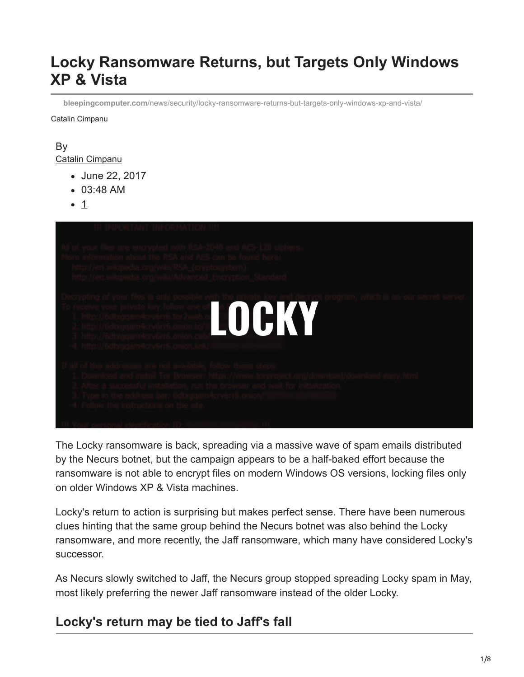# **Locky Ransomware Returns, but Targets Only Windows XP & Vista**

**bleepingcomputer.com**[/news/security/locky-ransomware-returns-but-targets-only-windows-xp-and-vista/](https://www.bleepingcomputer.com/news/security/locky-ransomware-returns-but-targets-only-windows-xp-and-vista/)

Catalin Cimpanu

#### By [Catalin Cimpanu](https://www.bleepingcomputer.com/author/catalin-cimpanu/)

- June 22, 2017
- 03:48 AM
- 1



The Locky ransomware is back, spreading via a massive wave of spam emails distributed by the Necurs botnet, but the campaign appears to be a half-baked effort because the ransomware is not able to encrypt files on modern Windows OS versions, locking files only on older Windows XP & Vista machines.

Locky's return to action is surprising but makes perfect sense. There have been numerous clues hinting that the same group behind the Necurs botnet was also behind the Locky ransomware, and more recently, the Jaff ransomware, which many have considered Locky's successor.

As Necurs slowly switched to Jaff, the Necurs group stopped spreading Locky spam in May, most likely preferring the newer Jaff ransomware instead of the older Locky.

### **Locky's return may be tied to Jaff's fall**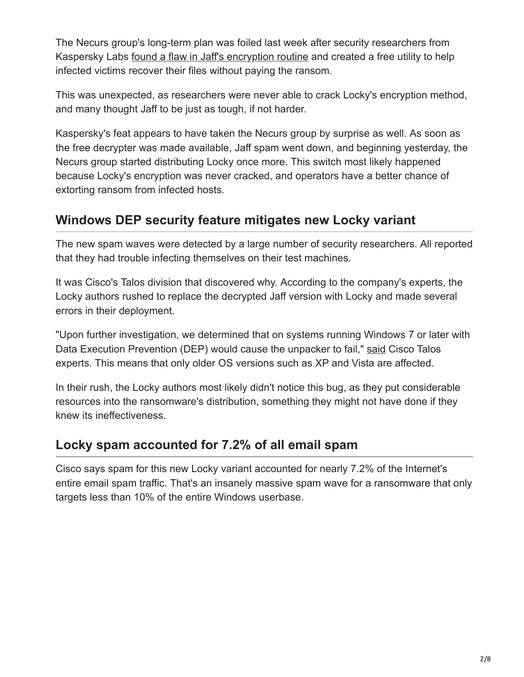The Necurs group's long-term plan was foiled last week after security researchers from Kaspersky Labs [found a flaw in Jaff's encryption routine](https://www.bleepingcomputer.com/news/security/decrypted-kaspersky-releases-decryptor-for-the-jaff-ransomware/) and created a free utility to help infected victims recover their files without paying the ransom.

This was unexpected, as researchers were never able to crack Locky's encryption method, and many thought Jaff to be just as tough, if not harder.

Kaspersky's feat appears to have taken the Necurs group by surprise as well. As soon as the free decrypter was made available, Jaff spam went down, and beginning yesterday, the Necurs group started distributing Locky once more. This switch most likely happened because Locky's encryption was never cracked, and operators have a better chance of extorting ransom from infected hosts.

# **Windows DEP security feature mitigates new Locky variant**

The new spam waves were detected by a large number of security researchers. All reported that they had trouble infecting themselves on their test machines.

It was Cisco's Talos division that discovered why. According to the company's experts, the Locky authors rushed to replace the decrypted Jaff version with Locky and made several errors in their deployment.

"Upon further investigation, we determined that on systems running Windows 7 or later with Data Execution Prevention (DEP) would cause the unpacker to fail," [said](http://blog.talosintelligence.com/2017/06/necurs-locky-campaign.html) Cisco Talos experts. This means that only older OS versions such as XP and Vista are affected.

In their rush, the Locky authors most likely didn't notice this bug, as they put considerable resources into the ransomware's distribution, something they might not have done if they knew its ineffectiveness.

## **Locky spam accounted for 7.2% of all email spam**

Cisco says spam for this new Locky variant accounted for nearly 7.2% of the Internet's entire email spam traffic. That's an insanely massive spam wave for a ransomware that only targets less than 10% of the entire Windows userbase.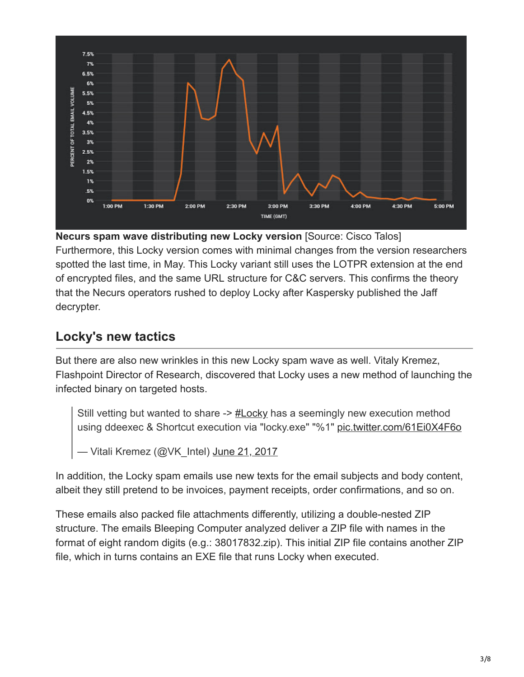

**Necurs spam wave distributing new Locky version** [Source: Cisco Talos] Furthermore, this Locky version comes with minimal changes from the version researchers spotted the last time, in May. This Locky variant still uses the LOTPR extension at the end of encrypted files, and the same URL structure for C&C servers. This confirms the theory that the Necurs operators rushed to deploy Locky after Kaspersky published the Jaff decrypter.

# **Locky's new tactics**

But there are also new wrinkles in this new Locky spam wave as well. Vitaly Kremez, Flashpoint Director of Research, discovered that Locky uses a new method of launching the infected binary on targeted hosts.

Still vetting but wanted to share -> [#Locky](https://twitter.com/hashtag/Locky?src=hash) has a seemingly new execution method using ddeexec & Shortcut execution via "locky.exe" "%1" [pic.twitter.com/61Ei0X4F6o](https://t.co/61Ei0X4F6o)

— Vitali Kremez (@VK\_Intel) [June 21, 2017](https://twitter.com/VK_Intel/status/877566377376329728)

In addition, the Locky spam emails use new texts for the email subjects and body content, albeit they still pretend to be invoices, payment receipts, order confirmations, and so on.

These emails also packed file attachments differently, utilizing a double-nested ZIP structure. The emails Bleeping Computer analyzed deliver a ZIP file with names in the format of eight random digits (e.g.: 38017832.zip). This initial ZIP file contains another ZIP file, which in turns contains an EXE file that runs Locky when executed.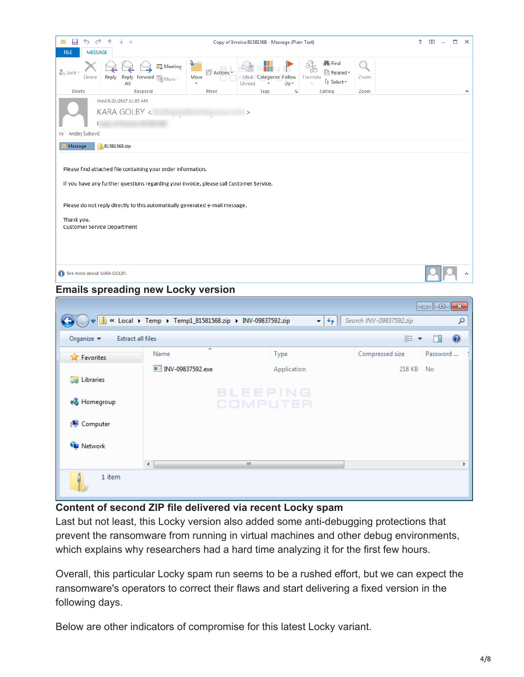| н<br>→<br>Copy of Invoice 81581568 - Message (Plain Text)<br>Z                                                                                                                                                                                                       | ? | $\overline{\mathbb{R}}$ | $\Box$ | $\times$ |  |  |  |  |  |
|----------------------------------------------------------------------------------------------------------------------------------------------------------------------------------------------------------------------------------------------------------------------|---|-------------------------|--------|----------|--|--|--|--|--|
| <b>MESSAGE</b><br><b>FILE</b>                                                                                                                                                                                                                                        |   |                         |        |          |  |  |  |  |  |
| <b>N</b> Find<br>₩<br><b>BL</b> Meeting<br>$\frac{3}{400}$ Junk -<br>P<br><b>PActions</b><br>Related ~<br>Delete<br>Reply Forward <b>Fight More</b><br>Reply<br>Move<br>Mark Categorize Follow<br>Translate<br>Zoom<br>ि Select *<br>Up -<br>Unread<br>All<br>٠<br>٠ |   |                         |        |          |  |  |  |  |  |
| Delete<br>Editing<br>Respond<br>Move<br>Tags<br>Zoom<br>履                                                                                                                                                                                                            |   |                         |        | ᄉ        |  |  |  |  |  |
| Wed 6/21/2017 11:05 AM                                                                                                                                                                                                                                               |   |                         |        |          |  |  |  |  |  |
| KARA GOLBY <<br>⋗                                                                                                                                                                                                                                                    |   |                         |        |          |  |  |  |  |  |
|                                                                                                                                                                                                                                                                      |   |                         |        |          |  |  |  |  |  |
| Andžej Šuškevič<br>To                                                                                                                                                                                                                                                |   |                         |        |          |  |  |  |  |  |
| 81581568.zip<br>Message                                                                                                                                                                                                                                              |   |                         |        |          |  |  |  |  |  |
| Please find attached file containing your order information.<br>If you have any further questions regarding your invoice, please call Customer Service.                                                                                                              |   |                         |        |          |  |  |  |  |  |
| Please do not reply directly to this automatically generated e-mail message.                                                                                                                                                                                         |   |                         |        |          |  |  |  |  |  |
| Thank you.<br>Customer Service Department                                                                                                                                                                                                                            |   |                         |        |          |  |  |  |  |  |
|                                                                                                                                                                                                                                                                      |   |                         |        |          |  |  |  |  |  |
| See more about KARA GOLBY.                                                                                                                                                                                                                                           |   |                         |        |          |  |  |  |  |  |

#### **Emails spreading new Locky version**

|                                                           | $\Box$ $\blacktriangleright$ Secret Framp + Temp1_81581568.zip + INV-09837592.zip | $+$<br>÷                    | Search INV-09837592.zip | $\begin{array}{c c c c c c} \hline \multicolumn{3}{c }{\mathbf{C}} & \multicolumn{3}{c }{\mathbf{S}} & \multicolumn{3}{c }{\mathbf{S}} & \multicolumn{3}{c }{\mathbf{S}} & \multicolumn{3}{c }{\mathbf{S}} & \multicolumn{3}{c }{\mathbf{S}} & \multicolumn{3}{c }{\mathbf{S}} & \multicolumn{3}{c }{\mathbf{S}} & \multicolumn{3}{c }{\mathbf{S}} & \multicolumn{3}{c }{\mathbf{S}} & \multicolumn{3}{c }{\mathbf{S}} & \multicolumn{3}{c }{\mathbf$<br>م |
|-----------------------------------------------------------|-----------------------------------------------------------------------------------|-----------------------------|-------------------------|------------------------------------------------------------------------------------------------------------------------------------------------------------------------------------------------------------------------------------------------------------------------------------------------------------------------------------------------------------------------------------------------------------------------------------------------------------|
| Organize $\blacktriangledown$<br><b>Extract all files</b> |                                                                                   |                             | 888 ▼                   | $\circledcirc$                                                                                                                                                                                                                                                                                                                                                                                                                                             |
| <b>X</b> Favorites                                        | ×<br>Name                                                                         | Type                        | Compressed size         | Password                                                                                                                                                                                                                                                                                                                                                                                                                                                   |
|                                                           | ■ INV-09837592.exe                                                                | Application                 | 218 KB                  | No                                                                                                                                                                                                                                                                                                                                                                                                                                                         |
| Libraries<br>E                                            |                                                                                   |                             |                         |                                                                                                                                                                                                                                                                                                                                                                                                                                                            |
| <b>R</b> Homegroup                                        |                                                                                   | <b>BLEEPING</b><br>COMPUTER |                         |                                                                                                                                                                                                                                                                                                                                                                                                                                                            |
| Computer                                                  |                                                                                   |                             |                         |                                                                                                                                                                                                                                                                                                                                                                                                                                                            |
| <b>Gu</b> Network                                         |                                                                                   |                             |                         |                                                                                                                                                                                                                                                                                                                                                                                                                                                            |
|                                                           | $\overline{ }$                                                                    | m.                          |                         |                                                                                                                                                                                                                                                                                                                                                                                                                                                            |
| 1 item                                                    |                                                                                   |                             |                         |                                                                                                                                                                                                                                                                                                                                                                                                                                                            |

#### **Content of second ZIP file delivered via recent Locky spam**

Last but not least, this Locky version also added some anti-debugging protections that prevent the ransomware from running in virtual machines and other debug environments, which explains why researchers had a hard time analyzing it for the first few hours.

Overall, this particular Locky spam run seems to be a rushed effort, but we can expect the ransomware's operators to correct their flaws and start delivering a fixed version in the following days.

Below are other indicators of compromise for this latest Locky variant.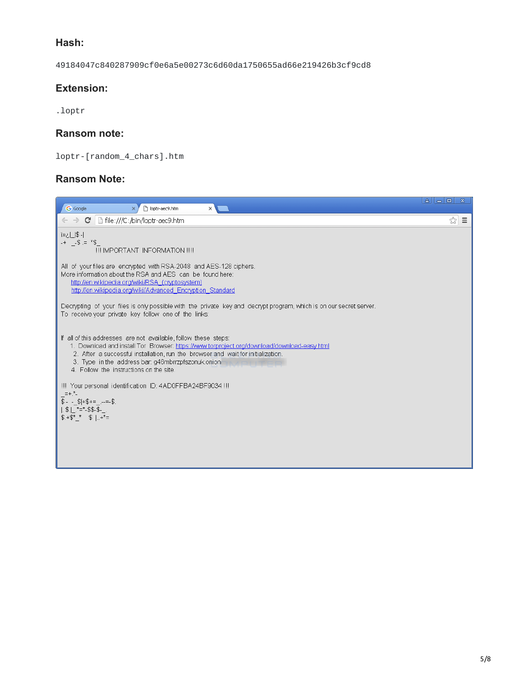#### **Hash:**

49184047c840287909cf0e6a5e00273c6d60da1750655ad66e219426b3cf9cd8

#### **Extension:**

.loptr

#### **Ransom note:**

loptr-[random\_4\_chars].htm

#### **Ransom Note:**

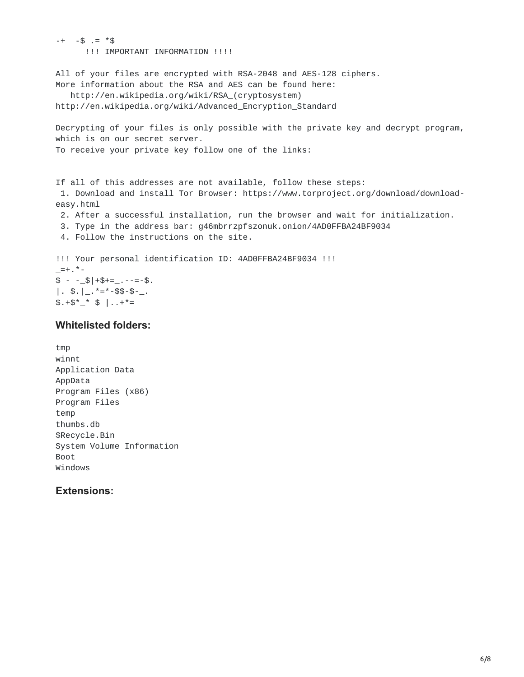$-+$   $-5$   $\pm$   $*$   $\uparrow$ !!! IMPORTANT INFORMATION !!!! All of your files are encrypted with RSA-2048 and AES-128 ciphers. More information about the RSA and AES can be found here: http://en.wikipedia.org/wiki/RSA\_(cryptosystem) http://en.wikipedia.org/wiki/Advanced\_Encryption\_Standard Decrypting of your files is only possible with the private key and decrypt program, which is on our secret server. To receive your private key follow one of the links: If all of this addresses are not available, follow these steps: 1. Download and install Tor Browser: https://www.torproject.org/download/downloadeasy.html 2. After a successful installation, run the browser and wait for initialization. 3. Type in the address bar: g46mbrrzpfszonuk.onion/4AD0FFBA24BF9034 4. Follow the instructions on the site. !!! Your personal identification ID: 4AD0FFBA24BF9034 !!!  $=+$ .  $*$  - $$ - _{\mathcal{S}}$  +  $$ +$   $$ \mathcal{S}$  +  $\mathcal{S}$  +  $\mathcal{S}$  -  $\mathcal{S}$  -  $\mathcal{S}$  +  $\mathcal{S}$  +  $\mathcal{S}$  +  $\mathcal{S}$  +  $\mathcal{S}$  +  $\mathcal{S}$  +  $\mathcal{S}$  +  $\mathcal{S}$  +  $\mathcal{S}$  +  $\mathcal{S}$  +  $\mathcal{S}$  +  $\mathcal{S}$  +  $\mathcal{S}$  +  $\$ |.  $\frac{1}{2}$ .  $\frac{1}{2}$ .  $\frac{1}{2}$  =  $\frac{1}{2}$  =  $\frac{1}{2}$  =  $\frac{1}{2}$  =  $\frac{1}{2}$ .  $$. +$*^-$  \$  $] . . +* =$ 

#### **Whitelisted folders:**

tmp winnt Application Data AppData Program Files (x86) Program Files temp thumbs.db \$Recycle.Bin System Volume Information Boot Windows

#### **Extensions:**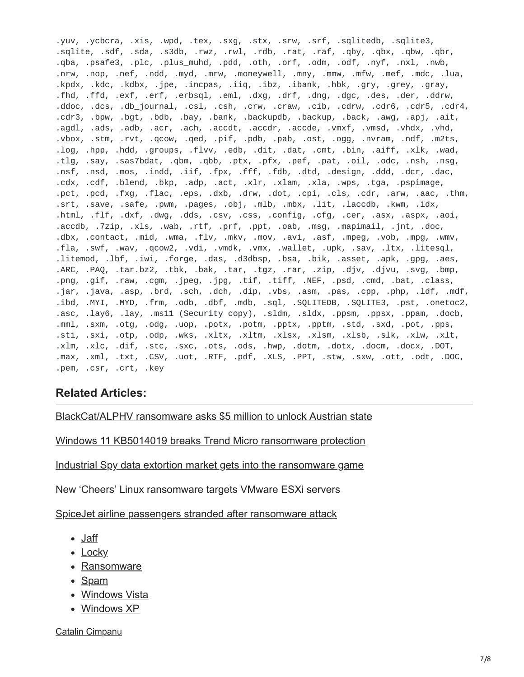.yuv, .ycbcra, .xis, .wpd, .tex, .sxg, .stx, .srw, .srf, .sqlitedb, .sqlite3, .sqlite, .sdf, .sda, .s3db, .rwz, .rwl, .rdb, .rat, .raf, .qby, .qbx, .qbw, .qbr, .qba, .psafe3, .plc, .plus\_muhd, .pdd, .oth, .orf, .odm, .odf, .nyf, .nxl, .nwb, .nrw, .nop, .nef, .ndd, .myd, .mrw, .moneywell, .mny, .mmw, .mfw, .mef, .mdc, .lua, .kpdx, .kdc, .kdbx, .jpe, .incpas, .iiq, .ibz, .ibank, .hbk, .gry, .grey, .gray, .fhd, .ffd, .exf, .erf, .erbsql, .eml, .dxg, .drf, .dng, .dgc, .des, .der, .ddrw, .ddoc, .dcs, .db\_journal, .csl, .csh, .crw, .craw, .cib, .cdrw, .cdr6, .cdr5, .cdr4, .cdr3, .bpw, .bgt, .bdb, .bay, .bank, .backupdb, .backup, .back, .awg, .apj, .ait, .agdl, .ads, .adb, .acr, .ach, .accdt, .accdr, .accde, .vmxf, .vmsd, .vhdx, .vhd, .vbox, .stm, .rvt, .qcow, .qed, .pif, .pdb, .pab, .ost, .ogg, .nvram, .ndf, .m2ts, .log, .hpp, .hdd, .groups, .flvv, .edb, .dit, .dat, .cmt, .bin, .aiff, .xlk, .wad, .tlg, .say, .sas7bdat, .qbm, .qbb, .ptx, .pfx, .pef, .pat, .oil, .odc, .nsh, .nsg, .nsf, .nsd, .mos, .indd, .iif, .fpx, .fff, .fdb, .dtd, .design, .ddd, .dcr, .dac, .cdx, .cdf, .blend, .bkp, .adp, .act, .xlr, .xlam, .xla, .wps, .tga, .pspimage, .pct, .pcd, .fxg, .flac, .eps, .dxb, .drw, .dot, .cpi, .cls, .cdr, .arw, .aac, .thm, .srt, .save, .safe, .pwm, .pages, .obj, .mlb, .mbx, .lit, .laccdb, .kwm, .idx, .html, .flf, .dxf, .dwg, .dds, .csv, .css, .config, .cfg, .cer, .asx, .aspx, .aoi, .accdb, .7zip, .xls, .wab, .rtf, .prf, .ppt, .oab, .msg, .mapimail, .jnt, .doc, .dbx, .contact, .mid, .wma, .flv, .mkv, .mov, .avi, .asf, .mpeg, .vob, .mpg, .wmv, .fla, .swf, .wav, .qcow2, .vdi, .vmdk, .vmx, .wallet, .upk, .sav, .ltx, .litesql, .litemod, .lbf, .iwi, .forge, .das, .d3dbsp, .bsa, .bik, .asset, .apk, .gpg, .aes, .ARC, .PAQ, .tar.bz2, .tbk, .bak, .tar, .tgz, .rar, .zip, .djv, .djvu, .svg, .bmp, .png, .gif, .raw, .cgm, .jpeg, .jpg, .tif, .tiff, .NEF, .psd, .cmd, .bat, .class, .jar, .java, .asp, .brd, .sch, .dch, .dip, .vbs, .asm, .pas, .cpp, .php, .ldf, .mdf, .ibd, .MYI, .MYD, .frm, .odb, .dbf, .mdb, .sql, .SQLITEDB, .SQLITE3, .pst, .onetoc2, .asc, .lay6, .lay, .ms11 (Security copy), .sldm, .sldx, .ppsm, .ppsx, .ppam, .docb, .mml, .sxm, .otg, .odg, .uop, .potx, .potm, .pptx, .pptm, .std, .sxd, .pot, .pps, .sti, .sxi, .otp, .odp, .wks, .xltx, .xltm, .xlsx, .xlsm, .xlsb, .slk, .xlw, .xlt, .xlm, .xlc, .dif, .stc, .sxc, .ots, .ods, .hwp, .dotm, .dotx, .docm, .docx, .DOT, .max, .xml, .txt, .CSV, .uot, .RTF, .pdf, .XLS, .PPT, .stw, .sxw, .ott, .odt, .DOC, .pem, .csr, .crt, .key

#### **Related Articles:**

[BlackCat/ALPHV ransomware asks \\$5 million to unlock Austrian state](https://www.bleepingcomputer.com/news/security/blackcat-alphv-ransomware-asks-5-million-to-unlock-austrian-state/)

[Windows 11 KB5014019 breaks Trend Micro ransomware protection](https://www.bleepingcomputer.com/news/security/windows-11-kb5014019-breaks-trend-micro-ransomware-protection/)

[Industrial Spy data extortion market gets into the ransomware game](https://www.bleepingcomputer.com/news/security/industrial-spy-data-extortion-market-gets-into-the-ransomware-game/)

[New 'Cheers' Linux ransomware targets VMware ESXi servers](https://www.bleepingcomputer.com/news/security/new-cheers-linux-ransomware-targets-vmware-esxi-servers/)

[SpiceJet airline passengers stranded after ransomware attack](https://www.bleepingcomputer.com/news/security/spicejet-airline-passengers-stranded-after-ransomware-attack/)

- [Jaff](https://www.bleepingcomputer.com/tag/jaff/)
- [Locky](https://www.bleepingcomputer.com/tag/locky/)
- [Ransomware](https://www.bleepingcomputer.com/tag/ransomware/)
- [Spam](https://www.bleepingcomputer.com/tag/spam/)
- [Windows Vista](https://www.bleepingcomputer.com/tag/windows-vista/)
- [Windows XP](https://www.bleepingcomputer.com/tag/windows-xp/)

[Catalin Cimpanu](https://www.bleepingcomputer.com/author/catalin-cimpanu/)